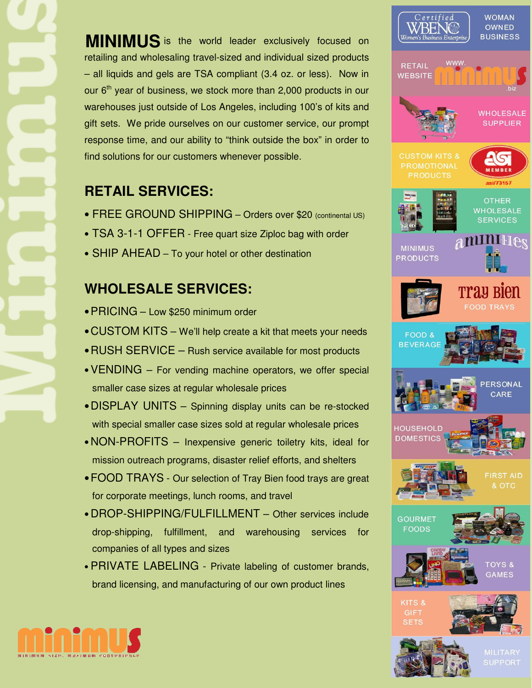**MINIMUS** is the world leader exclusively focused on retailing and wholesaling travel-sized and individual sized products – all liquids and gels are TSA compliant (3.4 oz. or less). Now in our  $6<sup>th</sup>$  year of business, we stock more than 2,000 products in our warehouses just outside of Los Angeles, including 100's of kits and gift sets. We pride ourselves on our customer service, our prompt response time, and our ability to "think outside the box" in order to find solutions for our customers whenever possible.

## **RETAIL SERVICES:**

- FREE GROUND SHIPPING Orders over \$20 (continental US)
- TSA 3-1-1 OFFER Free quart size Ziploc bag with order
- SHIP AHEAD To your hotel or other destination

## **WHOLESALE SERVICES:**

- PRICING Low \$250 minimum order
- •CUSTOM KITS We'll help create a kit that meets your needs
- RUSH SERVICE Rush service available for most products
- •VENDING For vending machine operators, we offer special smaller case sizes at regular wholesale prices
- •DISPLAY UNITS Spinning display units can be re-stocked with special smaller case sizes sold at regular wholesale prices
- NON-PROFITS Inexpensive generic toiletry kits, ideal for mission outreach programs, disaster relief efforts, and shelters
- •FOOD TRAYS Our selection of Tray Bien food trays are great for corporate meetings, lunch rooms, and travel
- DROP-SHIPPING/FULFILLMENT Other services include drop-shipping, fulfillment, and warehousing services for companies of all types and sizes
- PRIVATE LABELING Private labeling of customer brands, brand licensing, and manufacturing of our own product lines